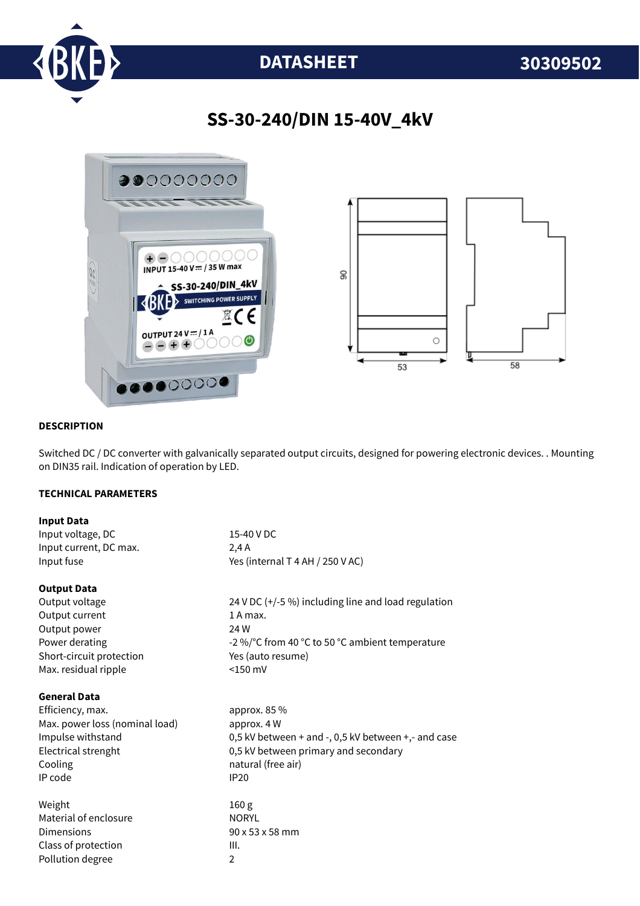

# **DATASHEET 30309502**

## **SS-30-240/DIN 15-40V\_4kV**



#### **DESCRIPTION**

Switched DC / DC converter with galvanically separated output circuits, designed for powering electronic devices. . Mounting on DIN35 rail. Indication of operation by LED.

#### **TECHNICAL PARAMETERS**

| <b>Input Data</b>              |                                                     |
|--------------------------------|-----------------------------------------------------|
| Input voltage, DC              | 15-40 V DC                                          |
| Input current, DC max.         | 2,4A                                                |
| Input fuse                     | Yes (internal T 4 AH / 250 V AC)                    |
| <b>Output Data</b>             |                                                     |
| Output voltage                 | 24 V DC (+/-5 %) including line and load regulation |
| Output current                 | 1 A max.                                            |
| Output power                   | 24 W                                                |
| Power derating                 | -2 %/°C from 40 °C to 50 °C ambient temperature     |
| Short-circuit protection       | Yes (auto resume)                                   |
| Max. residual ripple           | $<$ 150 mV                                          |
| <b>General Data</b>            |                                                     |
| Efficiency, max.               | approx. 85 %                                        |
| Max. power loss (nominal load) | approx. 4 W                                         |
| Impulse withstand              | 0,5 kV between + and -, 0,5 kV between +,- and case |
| Electrical strenght            | 0,5 kV between primary and secondary                |
| Cooling                        | natural (free air)                                  |
| IP code                        | <b>IP20</b>                                         |
| Weight                         | 160 <sub>g</sub>                                    |
| Material of enclosure          | <b>NORYL</b>                                        |
| Dimensions                     | 90 x 53 x 58 mm                                     |
| Class of protection            | III.                                                |
| Pollution degree               | $\overline{2}$                                      |
|                                |                                                     |